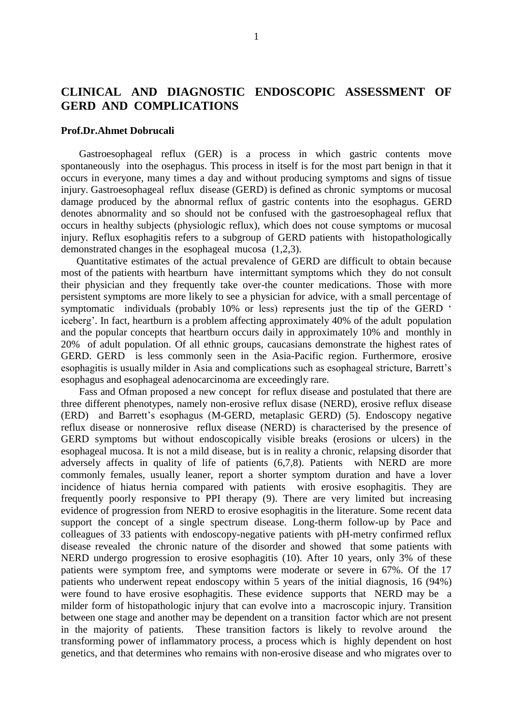# **CLINICAL AND DIAGNOSTIC ENDOSCOPIC ASSESSMENT OF GERD AND COMPLICATIONS**

#### **Prof.Dr.Ahmet Dobrucali**

 Gastroesophageal reflux (GER) is a process in which gastric contents move spontaneously into the osephagus. This process in itself is for the most part benign in that it occurs in everyone, many times a day and without producing symptoms and signs of tissue injury. Gastroesophageal reflux disease (GERD) is defined as chronic symptoms or mucosal damage produced by the abnormal reflux of gastric contents into the esophagus. GERD denotes abnormality and so should not be confused with the gastroesophageal reflux that occurs in healthy subjects (physiologic reflux), which does not couse symptoms or mucosal injury. Reflux esophagitis refers to a subgroup of GERD patients with histopathologically demonstrated changes in the esophageal mucosa (1,2,3).

 Quantitative estimates of the actual prevalence of GERD are difficult to obtain because most of the patients with heartburn have intermittant symptoms which they do not consult their physician and they frequently take over-the counter medications. Those with more persistent symptoms are more likely to see a physician for advice, with a small percentage of symptomatic individuals (probably 10% or less) represents just the tip of the GERD ' iceberg'. In fact, heartburn is a problem affecting approximately 40% of the adult population and the popular concepts that heartburn occurs daily in approximately 10% and monthly in 20% of adult population. Of all ethnic groups, caucasians demonstrate the highest rates of GERD. GERD is less commonly seen in the Asia-Pacific region. Furthermore, erosive esophagitis is usually milder in Asia and complications such as esophageal stricture, Barrett's esophagus and esophageal adenocarcinoma are exceedingly rare.

 Fass and Ofman proposed a new concept for reflux disease and postulated that there are three different phenotypes, namely non-erosive reflux disase (NERD), erosive reflux disease (ERD) and Barrett's esophagus (M-GERD, metaplasic GERD) (5). Endoscopy negative reflux disease or nonnerosive reflux disease (NERD) is characterised by the presence of GERD symptoms but without endoscopically visible breaks (erosions or ulcers) in the esophageal mucosa. It is not a mild disease, but is in reality a chronic, relapsing disorder that adversely affects in quality of life of patients (6,7,8). Patients with NERD are more commonly females, usually leaner, report a shorter symptom duration and have a lover incidence of hiatus hernia compared with patients with erosive esophagitis. They are frequently poorly responsive to PPI therapy (9). There are very limited but increasing evidence of progression from NERD to erosive esophagitis in the literature. Some recent data support the concept of a single spectrum disease. Long-therm follow-up by Pace and colleagues of 33 patients with endoscopy-negative patients with pH-metry confirmed reflux disease revealed the chronic nature of the disorder and showed that some patients with NERD undergo progression to erosive esophagitis (10). After 10 years, only 3% of these patients were symptom free, and symptoms were moderate or severe in 67%. Of the 17 patients who underwent repeat endoscopy within 5 years of the initial diagnosis, 16 (94%) were found to have erosive esophagitis. These evidence supports that NERD may be a milder form of histopathologic injury that can evolve into a macroscopic injury. Transition between one stage and another may be dependent on a transition factor which are not present in the majority of patients. These transition factors is likely to revolve around the transforming power of inflammatory process, a process which is highly dependent on host genetics, and that determines who remains with non-erosive disease and who migrates over to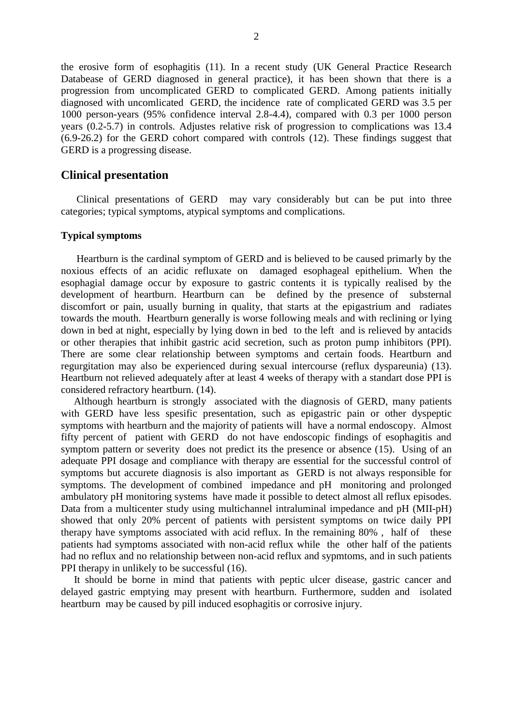the erosive form of esophagitis (11). In a recent study (UK General Practice Research Databease of GERD diagnosed in general practice), it has been shown that there is a progression from uncomplicated GERD to complicated GERD. Among patients initially diagnosed with uncomlicated GERD, the incidence rate of complicated GERD was 3.5 per 1000 person-years (95% confidence interval 2.8-4.4), compared with 0.3 per 1000 person years (0.2-5.7) in controls. Adjustes relative risk of progression to complications was 13.4 (6.9-26.2) for the GERD cohort compared with controls (12). These findings suggest that GERD is a progressing disease.

# **Clinical presentation**

 Clinical presentations of GERD may vary considerably but can be put into three categories; typical symptoms, atypical symptoms and complications.

#### **Typical symptoms**

 Heartburn is the cardinal symptom of GERD and is believed to be caused primarly by the noxious effects of an acidic refluxate on damaged esophageal epithelium. When the esophagial damage occur by exposure to gastric contents it is typically realised by the development of heartburn. Heartburn can be defined by the presence of substernal discomfort or pain, usually burning in quality, that starts at the epigastrium and radiates towards the mouth. Heartburn generally is worse following meals and with reclining or lying down in bed at night, especially by lying down in bed to the left and is relieved by antacids or other therapies that inhibit gastric acid secretion, such as proton pump inhibitors (PPI). There are some clear relationship between symptoms and certain foods. Heartburn and regurgitation may also be experienced during sexual intercourse (reflux dyspareunia) (13). Heartburn not relieved adequately after at least 4 weeks of therapy with a standart dose PPI is considered refractory heartburn. (14).

 Although heartburn is strongly associated with the diagnosis of GERD, many patients with GERD have less spesific presentation, such as epigastric pain or other dyspeptic symptoms with heartburn and the majority of patients will have a normal endoscopy. Almost fifty percent of patient with GERD do not have endoscopic findings of esophagitis and symptom pattern or severity does not predict its the presence or absence (15). Using of an adequate PPI dosage and compliance with therapy are essential for the successful control of symptoms but accurete diagnosis is also important as GERD is not always responsible for symptoms. The development of combined impedance and pH monitoring and prolonged ambulatory pH monitoring systems have made it possible to detect almost all reflux episodes. Data from a multicenter study using multichannel intraluminal impedance and pH (MII-pH) showed that only 20% percent of patients with persistent symptoms on twice daily PPI therapy have symptoms associated with acid reflux. In the remaining 80% , half of these patients had symptoms associated with non-acid reflux while the other half of the patients had no reflux and no relationship between non-acid reflux and sypmtoms, and in such patients PPI therapy in unlikely to be successful (16).

 It should be borne in mind that patients with peptic ulcer disease, gastric cancer and delayed gastric emptying may present with heartburn. Furthermore, sudden and isolated heartburn may be caused by pill induced esophagitis or corrosive injury.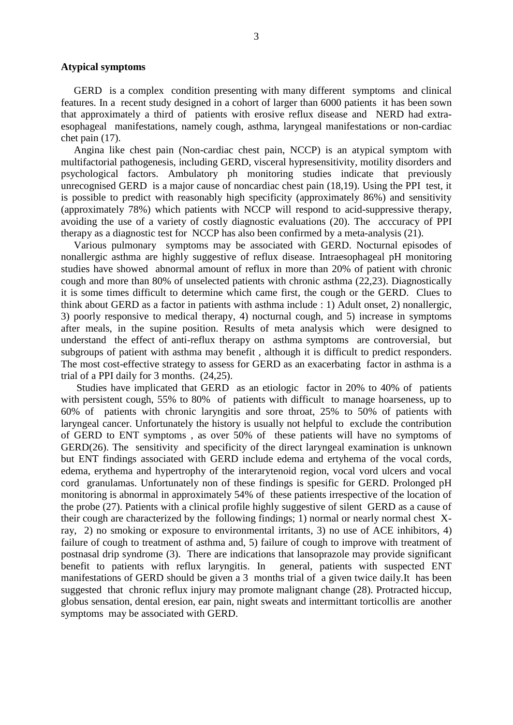#### **Atypical symptoms**

 GERD is a complex condition presenting with many different symptoms and clinical features. In a recent study designed in a cohort of larger than 6000 patients it has been sown that approximately a third of patients with erosive reflux disease and NERD had extraesophageal manifestations, namely cough, asthma, laryngeal manifestations or non-cardiac chet pain (17).

 Angina like chest pain (Non-cardiac chest pain, NCCP) is an atypical symptom with multifactorial pathogenesis, including GERD, visceral hypresensitivity, motility disorders and psychological factors. Ambulatory ph monitoring studies indicate that previously unrecognised GERD is a major cause of noncardiac chest pain (18,19). Using the PPI test, it is possible to predict with reasonably high specificity (approximately 86%) and sensitivity (approximately 78%) which patients with NCCP will respond to acid-suppressive therapy, avoiding the use of a variety of costly diagnostic evaluations (20). The acccuracy of PPI therapy as a diagnostic test for NCCP has also been confirmed by a meta-analysis (21).

 Various pulmonary symptoms may be associated with GERD. Nocturnal episodes of nonallergic asthma are highly suggestive of reflux disease. Intraesophageal pH monitoring studies have showed abnormal amount of reflux in more than 20% of patient with chronic cough and more than 80% of unselected patients with chronic asthma (22,23). Diagnostically it is some times difficult to determine which came first, the cough or the GERD. Clues to think about GERD as a factor in patients with asthma include : 1) Adult onset, 2) nonallergic, 3) poorly responsive to medical therapy, 4) nocturnal cough, and 5) increase in symptoms after meals, in the supine position. Results of meta analysis which were designed to understand the effect of anti-reflux therapy on asthma symptoms are controversial, but subgroups of patient with asthma may benefit , although it is difficult to predict responders. The most cost-effective strategy to assess for GERD as an exacerbating factor in asthma is a trial of a PPI daily for 3 months. (24,25).

 Studies have implicated that GERD as an etiologic factor in 20% to 40% of patients with persistent cough, 55% to 80% of patients with difficult to manage hoarseness, up to 60% of patients with chronic laryngitis and sore throat, 25% to 50% of patients with laryngeal cancer. Unfortunately the history is usually not helpful to exclude the contribution of GERD to ENT symptoms , as over 50% of these patients will have no symptoms of GERD(26). The sensitivity and specificity of the direct laryngeal examination is unknown but ENT findings associated with GERD include edema and ertyhema of the vocal cords, edema, erythema and hypertrophy of the interarytenoid region, vocal vord ulcers and vocal cord granulamas. Unfortunately non of these findings is spesific for GERD. Prolonged pH monitoring is abnormal in approximately 54% of these patients irrespective of the location of the probe (27). Patients with a clinical profile highly suggestive of silent GERD as a cause of their cough are characterized by the following findings; 1) normal or nearly normal chest Xray, 2) no smoking or exposure to environmental irritants, 3) no use of ACE inhibitors, 4) failure of cough to treatment of asthma and, 5) failure of cough to improve with treatment of postnasal drip syndrome (3). There are indications that lansoprazole may provide significant benefit to patients with reflux laryngitis. In general, patients with suspected ENT manifestations of GERD should be given a 3 months trial of a given twice daily.It has been suggested that chronic reflux injury may promote malignant change (28). Protracted hiccup, globus sensation, dental eresion, ear pain, night sweats and intermittant torticollis are another symptoms may be associated with GERD.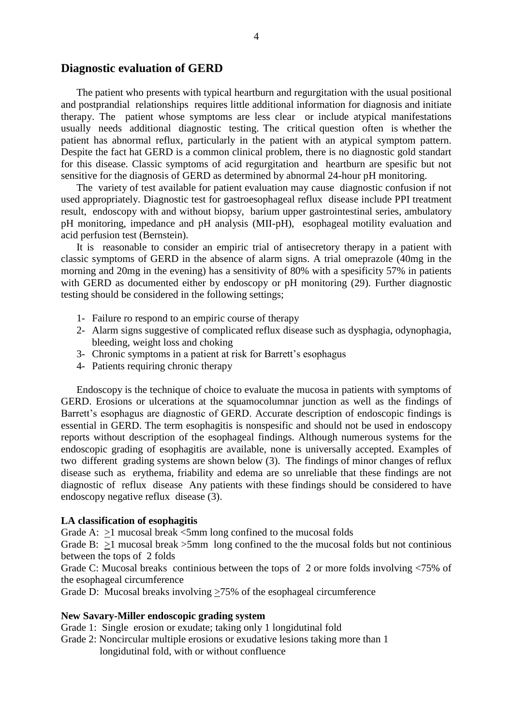### **Diagnostic evaluation of GERD**

 The patient who presents with typical heartburn and regurgitation with the usual positional and postprandial relationships requires little additional information for diagnosis and initiate therapy. The patient whose symptoms are less clear or include atypical manifestations usually needs additional diagnostic testing. The critical question often is whether the patient has abnormal reflux, particularly in the patient with an atypical symptom pattern. Despite the fact hat GERD is a common clinical problem, there is no diagnostic gold standart for this disease. Classic symptoms of acid regurgitation and heartburn are spesific but not sensitive for the diagnosis of GERD as determined by abnormal 24-hour pH monitoring.

 The variety of test available for patient evaluation may cause diagnostic confusion if not used appropriately. Diagnostic test for gastroesophageal reflux disease include PPI treatment result, endoscopy with and without biopsy, barium upper gastrointestinal series, ambulatory pH monitoring, impedance and pH analysis (MII-pH), esophageal motility evaluation and acid perfusion test (Bernstein).

 It is reasonable to consider an empiric trial of antisecretory therapy in a patient with classic symptoms of GERD in the absence of alarm signs. A trial omeprazole (40mg in the morning and 20mg in the evening) has a sensitivity of 80% with a spesificity 57% in patients with GERD as documented either by endoscopy or pH monitoring (29). Further diagnostic testing should be considered in the following settings;

- 1- Failure ro respond to an empiric course of therapy
- 2- Alarm signs suggestive of complicated reflux disease such as dysphagia, odynophagia, bleeding, weight loss and choking
- 3- Chronic symptoms in a patient at risk for Barrett's esophagus
- 4- Patients requiring chronic therapy

 Endoscopy is the technique of choice to evaluate the mucosa in patients with symptoms of GERD. Erosions or ulcerations at the squamocolumnar junction as well as the findings of Barrett's esophagus are diagnostic of GERD. Accurate description of endoscopic findings is essential in GERD. The term esophagitis is nonspesific and should not be used in endoscopy reports without description of the esophageal findings. Although numerous systems for the endoscopic grading of esophagitis are available, none is universally accepted. Examples of two different grading systems are shown below (3). The findings of minor changes of reflux disease such as erythema, friability and edema are so unreliable that these findings are not diagnostic of reflux disease Any patients with these findings should be considered to have endoscopy negative reflux disease (3).

#### **LA classification of esophagitis**

Grade A:  $>1$  mucosal break  $<$ 5mm long confined to the mucosal folds

Grade B:  $>1$  mucosal break  $>5$ mm long confined to the the mucosal folds but not continious between the tops of 2 folds

Grade C: Mucosal breaks continious between the tops of 2 or more folds involving <75% of the esophageal circumference

Grade D: Mucosal breaks involving >75% of the esophageal circumference

#### **New Savary-Miller endoscopic grading system**

Grade 1: Single erosion or exudate; taking only 1 longidutinal fold

Grade 2: Noncircular multiple erosions or exudative lesions taking more than 1 longidutinal fold, with or without confluence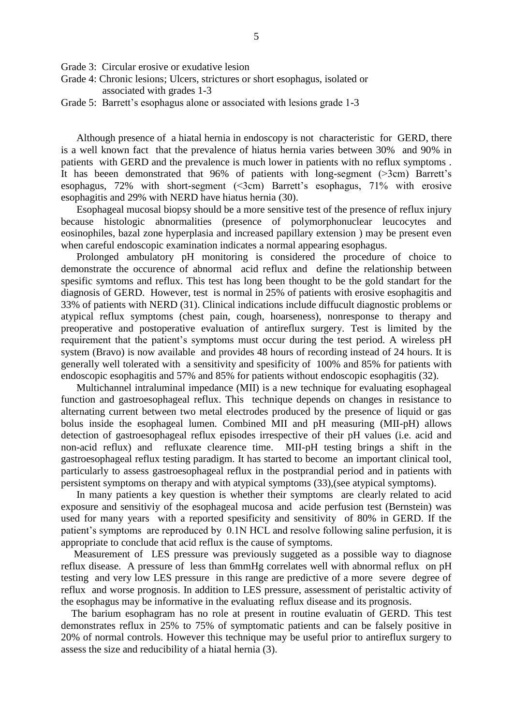Grade 3: Circular erosive or exudative lesion

- Grade 4: Chronic lesions; Ulcers, strictures or short esophagus, isolated or associated with grades 1-3
- Grade 5: Barrett's esophagus alone or associated with lesions grade 1-3

 Although presence of a hiatal hernia in endoscopy is not characteristic for GERD, there is a well known fact that the prevalence of hiatus hernia varies between 30% and 90% in patients with GERD and the prevalence is much lower in patients with no reflux symptoms . It has beeen demonstrated that 96% of patients with long-segment (>3cm) Barrett's esophagus,  $72\%$  with short-segment  $(\leq 3cm)$  Barrett's esophagus,  $71\%$  with erosive esophagitis and 29% with NERD have hiatus hernia (30).

 Esophageal mucosal biopsy should be a more sensitive test of the presence of reflux injury because histologic abnormalities (presence of polymorphonuclear leucocytes and eosinophiles, bazal zone hyperplasia and increased papillary extension ) may be present even when careful endoscopic examination indicates a normal appearing esophagus.

 Prolonged ambulatory pH monitoring is considered the procedure of choice to demonstrate the occurence of abnormal acid reflux and define the relationship between spesific symtoms and reflux. This test has long been thought to be the gold standart for the diagnosis of GERD. However, test is normal in 25% of patients with erosive esophagitis and 33% of patients with NERD (31). Clinical indications include diffucult diagnostic problems or atypical reflux symptoms (chest pain, cough, hoarseness), nonresponse to therapy and preoperative and postoperative evaluation of antireflux surgery. Test is limited by the requirement that the patient's symptoms must occur during the test period. A wireless pH system (Bravo) is now available and provides 48 hours of recording instead of 24 hours. It is generally well tolerated with a sensitivity and spesificity of 100% and 85% for patients with endoscopic esophagitis and 57% and 85% for patients without endoscopic esophagitis (32).

 Multichannel intraluminal impedance (MII) is a new technique for evaluating esophageal function and gastroesophageal reflux. This technique depends on changes in resistance to alternating current between two metal electrodes produced by the presence of liquid or gas bolus inside the esophageal lumen. Combined MII and pH measuring (MII-pH) allows detection of gastroesophageal reflux episodes irrespective of their pH values (i.e. acid and non-acid reflux) and refluxate clearence time. MII-pH testing brings a shift in the gastroesophageal reflux testing paradigm. It has started to become an important clinical tool, particularly to assess gastroesophageal reflux in the postprandial period and in patients with persistent symptoms on therapy and with atypical symptoms (33),(see atypical symptoms).

 In many patients a key question is whether their symptoms are clearly related to acid exposure and sensitiviy of the esophageal mucosa and acide perfusion test (Bernstein) was used for many years with a reported spesificity and sensitivity of 80% in GERD. If the patient's symptoms are reproduced by 0.1N HCL and resolve following saline perfusion, it is appropriate to conclude that acid reflux is the cause of symptoms.

 Measurement of LES pressure was previously suggeted as a possible way to diagnose reflux disease. A pressure of less than 6mmHg correlates well with abnormal reflux on pH testing and very low LES pressure in this range are predictive of a more severe degree of reflux and worse prognosis. In addition to LES pressure, assessment of peristaltic activity of the esophagus may be informative in the evaluating reflux disease and its prognosis.

 The barium esophagram has no role at present in routine evaluatin of GERD. This test demonstrates reflux in 25% to 75% of symptomatic patients and can be falsely positive in 20% of normal controls. However this technique may be useful prior to antireflux surgery to assess the size and reducibility of a hiatal hernia (3).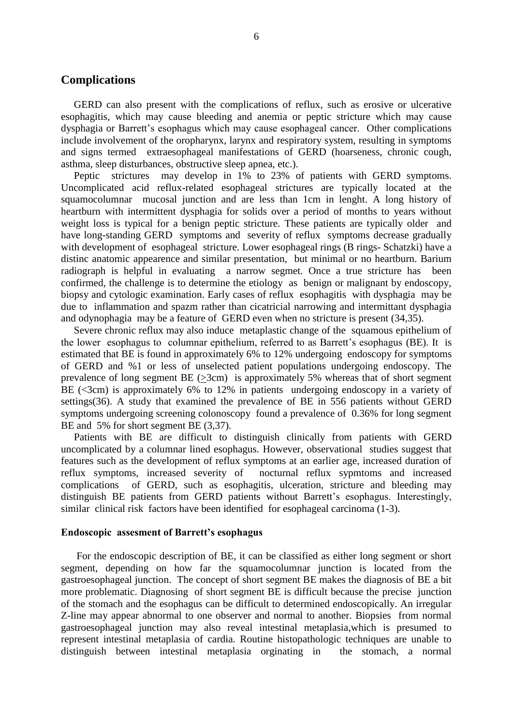## **Complications**

 GERD can also present with the complications of reflux, such as erosive or ulcerative esophagitis, which may cause bleeding and anemia or peptic stricture which may cause dysphagia or Barrett's esophagus which may cause esophageal cancer. Other complications include involvement of the oropharynx, larynx and respiratory system, resulting in symptoms and signs termed extraesophageal manifestations of GERD (hoarseness, chronic cough, asthma, sleep disturbances, obstructive sleep apnea, etc.).

 Peptic strictures may develop in 1% to 23% of patients with GERD symptoms. Uncomplicated acid reflux-related esophageal strictures are typically located at the squamocolumnar mucosal junction and are less than 1cm in lenght. A long history of heartburn with intermittent dysphagia for solids over a period of months to years without weight loss is typical for a benign peptic stricture. These patients are typically older and have long-standing GERD symptoms and severity of reflux symptoms decrease gradually with development of esophageal stricture. Lower esophageal rings (B rings- Schatzki) have a distinc anatomic appearence and similar presentation, but minimal or no heartburn. Barium radiograph is helpful in evaluating a narrow segmet. Once a true stricture has been confirmed, the challenge is to determine the etiology as benign or malignant by endoscopy, biopsy and cytologic examination. Early cases of reflux esophagitis with dysphagia may be due to inflammation and spazm rather than cicatricial narrowing and intermittant dysphagia and odynophagia may be a feature of GERD even when no stricture is present (34,35).

 Severe chronic reflux may also induce metaplastic change of the squamous epithelium of the lower esophagus to columnar epithelium, referred to as Barrett's esophagus (BE). It is estimated that BE is found in approximately 6% to 12% undergoing endoscopy for symptoms of GERD and %1 or less of unselected patient populations undergoing endoscopy. The prevalence of long segment BE  $(\geq 3cm)$  is approximately 5% whereas that of short segment BE (<3cm) is approximately 6% to 12% in patients undergoing endoscopy in a variety of settings(36). A study that examined the prevalence of BE in 556 patients without GERD symptoms undergoing screening colonoscopy found a prevalence of 0.36% for long segment BE and 5% for short segment BE (3,37).

 Patients with BE are difficult to distinguish clinically from patients with GERD uncomplicated by a columnar lined esophagus. However, observational studies suggest that features such as the development of reflux symptoms at an earlier age, increased duration of reflux symptoms, increased severity of nocturnal reflux sypmtoms and increased complications of GERD, such as esophagitis, ulceration, stricture and bleeding may distinguish BE patients from GERD patients without Barrett's esophagus. Interestingly, similar clinical risk factors have been identified for esophageal carcinoma (1-3).

#### **Endoscopic assesment of Barrett's esophagus**

 For the endoscopic description of BE, it can be classified as either long segment or short segment, depending on how far the squamocolumnar junction is located from the gastroesophageal junction. The concept of short segment BE makes the diagnosis of BE a bit more problematic. Diagnosing of short segment BE is difficult because the precise junction of the stomach and the esophagus can be difficult to determined endoscopically. An irregular Z-line may appear abnormal to one observer and normal to another. Biopsies from normal gastroesophageal junction may also reveal intestinal metaplasia,which is presumed to represent intestinal metaplasia of cardia. Routine histopathologic techniques are unable to distinguish between intestinal metaplasia orginating in the stomach, a normal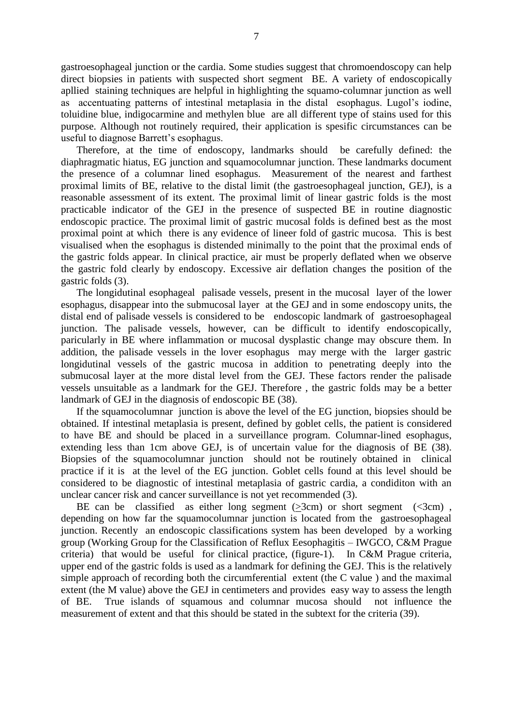gastroesophageal junction or the cardia. Some studies suggest that chromoendoscopy can help direct biopsies in patients with suspected short segment BE. A variety of endoscopically apllied staining techniques are helpful in highlighting the squamo-columnar junction as well as accentuating patterns of intestinal metaplasia in the distal esophagus. Lugol's iodine, toluidine blue, indigocarmine and methylen blue are all different type of stains used for this purpose. Although not routinely required, their application is spesific circumstances can be useful to diagnose Barrett's esophagus.

 Therefore, at the time of endoscopy, landmarks should be carefully defined: the diaphragmatic hiatus, EG junction and squamocolumnar junction. These landmarks document the presence of a columnar lined esophagus. Measurement of the nearest and farthest proximal limits of BE, relative to the distal limit (the gastroesophageal junction, GEJ), is a reasonable assessment of its extent. The proximal limit of linear gastric folds is the most practicable indicator of the GEJ in the presence of suspected BE in routine diagnostic endoscopic practice. The proximal limit of gastric mucosal folds is defined best as the most proximal point at which there is any evidence of lineer fold of gastric mucosa. This is best visualised when the esophagus is distended minimally to the point that the proximal ends of the gastric folds appear. In clinical practice, air must be properly deflated when we observe the gastric fold clearly by endoscopy. Excessive air deflation changes the position of the gastric folds (3).

 The longidutinal esophageal palisade vessels, present in the mucosal layer of the lower esophagus, disappear into the submucosal layer at the GEJ and in some endoscopy units, the distal end of palisade vessels is considered to be endoscopic landmark of gastroesophageal junction. The palisade vessels, however, can be difficult to identify endoscopically, paricularly in BE where inflammation or mucosal dysplastic change may obscure them. In addition, the palisade vessels in the lover esophagus may merge with the larger gastric longidutinal vessels of the gastric mucosa in addition to penetrating deeply into the submucosal layer at the more distal level from the GEJ. These factors render the palisade vessels unsuitable as a landmark for the GEJ. Therefore , the gastric folds may be a better landmark of GEJ in the diagnosis of endoscopic BE (38).

 If the squamocolumnar junction is above the level of the EG junction, biopsies should be obtained. If intestinal metaplasia is present, defined by goblet cells, the patient is considered to have BE and should be placed in a surveillance program. Columnar-lined esophagus, extending less than 1cm above GEJ, is of uncertain value for the diagnosis of BE (38). Biopsies of the squamocolumnar junction should not be routinely obtained in clinical practice if it is at the level of the EG junction. Goblet cells found at this level should be considered to be diagnostic of intestinal metaplasia of gastric cardia, a condiditon with an unclear cancer risk and cancer surveillance is not yet recommended (3).

BE can be classified as either long segment  $(3cm)$  or short segment  $(3cm)$ , depending on how far the squamocolumnar junction is located from the gastroesophageal junction. Recently an endoscopic classifications system has been developed by a working group (Working Group for the Classification of Reflux Eesophagitis – IWGCO, C&M Prague criteria) that would be useful for clinical practice, (figure-1). In C&M Prague criteria, upper end of the gastric folds is used as a landmark for defining the GEJ. This is the relatively simple approach of recording both the circumferential extent (the C value ) and the maximal extent (the M value) above the GEJ in centimeters and provides easy way to assess the length of BE. True islands of squamous and columnar mucosa should not influence the measurement of extent and that this should be stated in the subtext for the criteria (39).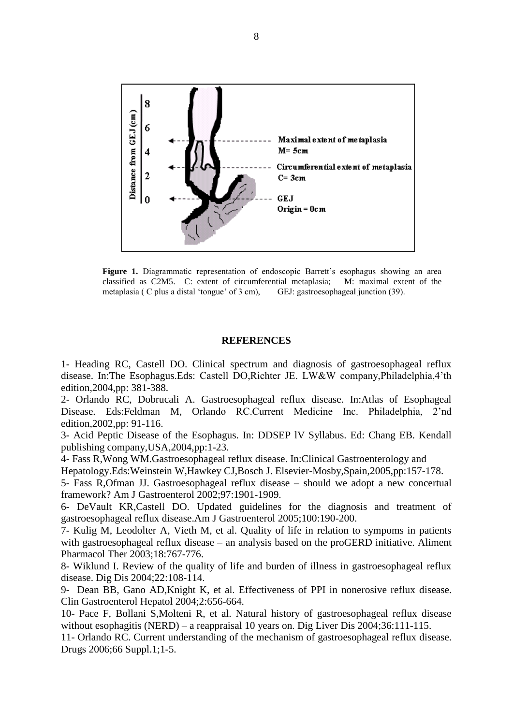

**Figure 1.** Diagrammatic representation of endoscopic Barrett's esophagus showing an area classified as C2M5. C: extent of circumferential metaplasia; M: maximal extent of the metaplasia ( C plus a distal 'tongue' of 3 cm), GEJ: gastroesophageal junction (39).

#### **REFERENCES**

1- Heading RC, Castell DO. Clinical spectrum and diagnosis of gastroesophageal reflux disease. In:The Esophagus.Eds: Castell DO,Richter JE. LW&W company,Philadelphia,4'th edition,2004,pp: 381-388.

2- Orlando RC, Dobrucali A. Gastroesophageal reflux disease. In:Atlas of Esophageal Disease. Eds:Feldman M, Orlando RC.Current Medicine Inc. Philadelphia, 2'nd edition,2002,pp: 91-116.

3- Acid Peptic Disease of the Esophagus. In: DDSEP lV Syllabus. Ed: Chang EB. Kendall publishing company,USA,2004,pp:1-23.

4- Fass R,Wong WM.Gastroesophageal reflux disease. In:Clinical Gastroenterology and

Hepatology.Eds:Weinstein W,Hawkey CJ,Bosch J. Elsevier-Mosby,Spain,2005,pp:157-178.

5- Fass R,Ofman JJ. Gastroesophageal reflux disease – should we adopt a new concertual framework? Am J Gastroenterol 2002;97:1901-1909.

6- DeVault KR,Castell DO. Updated guidelines for the diagnosis and treatment of gastroesophageal reflux disease.Am J Gastroenterol 2005;100:190-200.

7- Kulig M, Leodolter A, Vieth M, et al. Quality of life in relation to sympoms in patients with gastroesophageal reflux disease – an analysis based on the proGERD initiative. Aliment Pharmacol Ther 2003;18:767-776.

8- Wiklund I. Review of the quality of life and burden of illness in gastroesophageal reflux disease. Dig Dis 2004;22:108-114.

9- Dean BB, Gano AD,Knight K, et al. Effectiveness of PPI in nonerosive reflux disease. Clin Gastroenterol Hepatol 2004;2:656-664.

10- Pace F, Bollani S,Molteni R, et al. Natural history of gastroesophageal reflux disease without esophagitis (NERD) – a reappraisal 10 years on. Dig Liver Dis 2004;36:111-115.

11- Orlando RC. Current understanding of the mechanism of gastroesophageal reflux disease. Drugs 2006;66 Suppl.1;1-5.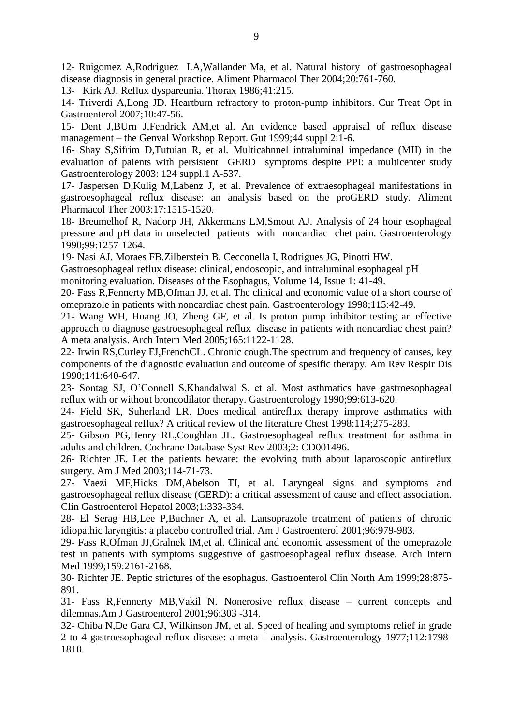12- Ruigomez A,Rodriguez LA,Wallander Ma, et al. Natural history of gastroesophageal disease diagnosis in general practice. Aliment Pharmacol Ther 2004;20:761-760.

13- Kirk AJ. Reflux dyspareunia. Thorax 1986;41:215.

14- Triverdi A,Long JD. Heartburn refractory to proton-pump inhibitors. Cur Treat Opt in Gastroenterol 2007;10:47-56.

15- Dent J,BUrn J,Fendrick AM,et al. An evidence based appraisal of reflux disease management – the Genval Workshop Report. Gut 1999;44 suppl 2:1-6.

16- Shay S,Sifrim D,Tutuian R, et al. Multicahnnel intraluminal impedance (MII) in the evaluation of paients with persistent GERD symptoms despite PPI: a multicenter study Gastroenterology 2003: 124 suppl.1 A-537.

17- Jaspersen D,Kulig M,Labenz J, et al. Prevalence of extraesophageal manifestations in gastroesophageal reflux disease: an analysis based on the proGERD study. Aliment Pharmacol Ther 2003:17:1515-1520.

18- Breumelhof R, Nadorp JH, Akkermans LM,Smout AJ. Analysis of 24 hour esophageal pressure and pH data in unselected patients with noncardiac chet pain. Gastroenterology 1990;99:1257-1264.

19- Nasi AJ, Moraes FB,Zilberstein B, Cecconella I, Rodrigues JG, Pinotti HW.

Gastroesophageal reflux disease: clinical, endoscopic, and intraluminal esophageal pH

monitoring evaluation. Diseases of the Esophagus, Volume 14, Issue 1: 41-49.

20- Fass R,Fennerty MB,Ofman JJ, et al. The clinical and economic value of a short course of omeprazole in patients with noncardiac chest pain. Gastroenterology 1998;115:42-49.

21- Wang WH, Huang JO, Zheng GF, et al. Is proton pump inhibitor testing an effective approach to diagnose gastroesophageal reflux disease in patients with noncardiac chest pain? A meta analysis. Arch Intern Med 2005;165:1122-1128.

22- Irwin RS,Curley FJ,FrenchCL. Chronic cough.The spectrum and frequency of causes, key components of the diagnostic evaluatiun and outcome of spesific therapy. Am Rev Respir Dis 1990;141:640-647.

23- Sontag SJ, O'Connell S,Khandalwal S, et al. Most asthmatics have gastroesophageal reflux with or without broncodilator therapy. Gastroenterology 1990;99:613-620.

24- Field SK, Suherland LR. Does medical antireflux therapy improve asthmatics with gastroesophageal reflux? A critical review of the literature Chest 1998:114;275-283.

25- Gibson PG,Henry RL,Coughlan JL. Gastroesophageal reflux treatment for asthma in adults and children. Cochrane Database Syst Rev 2003;2: CD001496.

26- Richter JE. Let the patients beware: the evolving truth about laparoscopic antireflux surgery. Am J Med 2003;114-71-73.

27- Vaezi MF,Hicks DM,Abelson TI, et al. Laryngeal signs and symptoms and gastroesophageal reflux disease (GERD): a critical assessment of cause and effect association. Clin Gastroenterol Hepatol 2003;1:333-334.

28- El Serag HB,Lee P,Buchner A, et al. Lansoprazole treatment of patients of chronic idiopathic laryngitis: a placebo controlled trial. Am J Gastroenterol 2001;96:979-983.

29- Fass R,Ofman JJ,Gralnek IM,et al. Clinical and economic assessment of the omeprazole test in patients with symptoms suggestive of gastroesophageal reflux disease. Arch Intern Med 1999;159:2161-2168.

30- Richter JE. Peptic strictures of the esophagus. Gastroenterol Clin North Am 1999;28:875- 891.

31- Fass R,Fennerty MB,Vakil N. Nonerosive reflux disease – current concepts and dilemnas.Am J Gastroenterol 2001;96:303 -314.

32- Chiba N,De Gara CJ, Wilkinson JM, et al. Speed of healing and symptoms relief in grade 2 to 4 gastroesophageal reflux disease: a meta – analysis. Gastroenterology 1977;112:1798- 1810.